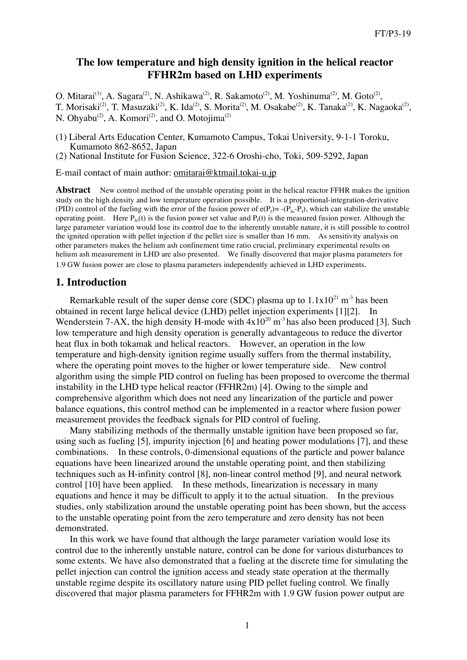## **The low temperature and high density ignition in the helical reactor FFHR2m based on LHD experiments**

O. Mitarai<sup>(1)</sup>, A. Sagara<sup>(2)</sup>, N. Ashikawa<sup>(2)</sup>, R. Sakamoto<sup>(2)</sup>, M. Yoshinuma<sup>(2)</sup>, M. Goto<sup>(2)</sup>, T. Morisaki<sup>(2)</sup>, T. Masuzaki<sup>(2)</sup>, K. Ida<sup>(2)</sup>, S. Morita<sup>(2)</sup>, M. Osakabe<sup>(2)</sup>, K. Tanaka<sup>(2)</sup>, K. Nagaoka<sup>(2)</sup>, N. Ohyabu<sup>(2)</sup>, A. Komori<sup>(2)</sup>, and O. Motojima<sup>(2)</sup>

(1) Liberal Arts Education Center, Kumamoto Campus, Tokai University, 9-1-1 Toroku, Kumamoto 862-8652, Japan

(2) National Institute for Fusion Science, 322-6 Oroshi-cho, Toki, 509-5292, Japan

E-mail contact of main author: omitarai@ktmail.tokai-u.jp

**Abstract** New control method of the unstable operating point in the helical reactor FFHR makes the ignition study on the high density and low temperature operation possible. It is a proportional-integration-derivative (PID) control of the fueling with the error of the fusion power of  $e(P_f) = -P_{f_0} - P_f$ , which can stabilize the unstable operating point. Here  $P_{f_0}(t)$  is the fusion power set value and  $P_f(t)$  is the measured fusion power. Although the large parameter variation would lose its control due to the inherently unstable nature, it is still possible to control the ignited operation with pellet injection if the pellet size is smaller than 16 mm. As sensitivity analysis on other parameters makes the helium ash confinement time ratio crucial, preliminary experimental results on helium ash measurement in LHD are also presented. We finally discovered that major plasma parameters for 1.9 GW fusion power are close to plasma parameters independently achieved in LHD experiments.

### **1. Introduction**

Remarkable result of the super dense core (SDC) plasma up to  $1.1x10^{21}$  m<sup>-3</sup> has been obtained in recent large helical device (LHD) pellet injection experiments [1][2]. In Wenderstein 7-AX, the high density H-mode with  $4x10^{20}$  m<sup>-3</sup> has also been produced [3]. Such low temperature and high density operation is generally advantageous to reduce the divertor heat flux in both tokamak and helical reactors. However, an operation in the low temperature and high-density ignition regime usually suffers from the thermal instability, where the operating point moves to the higher or lower temperature side. New control algorithm using the simple PID control on fueling has been proposed to overcome the thermal instability in the LHD type helical reactor (FFHR2m) [4]. Owing to the simple and comprehensive algorithm which does not need any linearization of the particle and power balance equations, this control method can be implemented in a reactor where fusion power measurement provides the feedback signals for PID control of fueling.

Many stabilizing methods of the thermally unstable ignition have been proposed so far, using such as fueling [5], impurity injection [6] and heating power modulations [7], and these combinations. In these controls, 0-dimensional equations of the particle and power balance equations have been linearized around the unstable operating point, and then stabilizing techniques such as H-infinity control [8], non-linear control method [9], and neural network control [10] have been applied. In these methods, linearization is necessary in many equations and hence it may be difficult to apply it to the actual situation. In the previous studies, only stabilization around the unstable operating point has been shown, but the access to the unstable operating point from the zero temperature and zero density has not been demonstrated.

In this work we have found that although the large parameter variation would lose its control due to the inherently unstable nature, control can be done for various disturbances to some extents. We have also demonstrated that a fueling at the discrete time for simulating the pellet injection can control the ignition access and steady state operation at the thermally unstable regime despite its oscillatory nature using PID pellet fueling control. We finally discovered that major plasma parameters for FFHR2m with 1.9 GW fusion power output are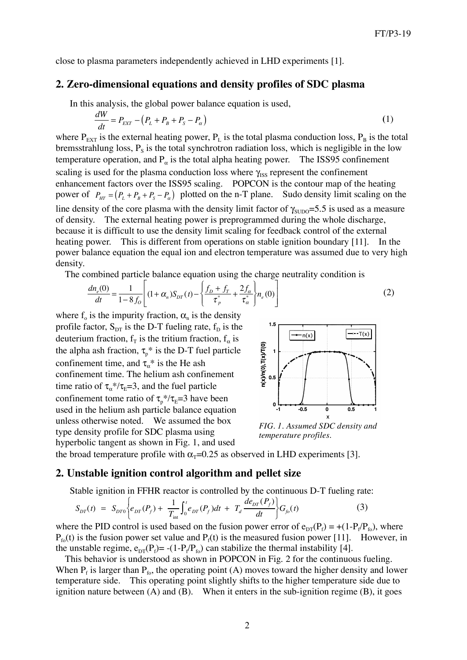close to plasma parameters independently achieved in LHD experiments [1].

### **2. Zero-dimensional equations and density profiles of SDC plasma**

In this analysis, the global power balance equation is used,

$$
\frac{dW}{dt} = P_{EXT} - \left(P_L + P_B + P_S - P_\alpha\right) \tag{1}
$$

where  $P_{EXT}$  is the external heating power,  $P_L$  is the total plasma conduction loss,  $P_B$  is the total bremsstrahlung loss,  $P_s$  is the total synchrotron radiation loss, which is negligible in the low temperature operation, and  $P_{\alpha}$  is the total alpha heating power. The ISS95 confinement scaling is used for the plasma conduction loss where  $\gamma_{\text{ISS}}$  represent the confinement enhancement factors over the ISS95 scaling. POPCON is the contour map of the heating power of  $P_{HT} = (P_L + P_B + P_S - P_\alpha)$  plotted on the n-T plane. Sudo density limit scaling on the line density of the core plasma with the density limit factor of  $\gamma_{\text{SUDO}}=5.5$  is used as a measure of density. The external heating power is preprogrammed during the whole discharge, because it is difficult to use the density limit scaling for feedback control of the external heating power. This is different from operations on stable ignition boundary [11]. In the power balance equation the equal ion and electron temperature was assumed due to very high density.

The combined particle balance equation using the charge neutrality condition is

$$
\frac{dn_e(0)}{dt} = \frac{1}{1 - 8f_0} \left[ (1 + \alpha_n) S_{DT}(t) - \left\{ \frac{f_D + f_T}{\tau_p^*} + \frac{2f_\alpha}{\tau_\alpha^*} \right\} n_e(0) \right] \tag{2}
$$

where  $f_0$  is the impurity fraction,  $\alpha_n$  is the density profile factor,  $S_{DT}$  is the D-T fueling rate,  $f_D$  is the deuterium fraction,  $f<sub>T</sub>$  is the tritium fraction,  $f<sub>\alpha</sub>$  is the alpha ash fraction,  $\tau_p^*$  is the D-T fuel particle confinement time, and  $\tau_{\alpha}^*$  is the He ash confinement time. The helium ash confinement time ratio of  $\tau_{\alpha}$ \*/ $\tau_{\text{E}}$ =3, and the fuel particle confinement tome ratio of  $\tau_p^* / \tau_E = 3$  have been used in the helium ash particle balance equation unless otherwise noted. We assumed the box type density profile for SDC plasma using hyperbolic tangent as shown in Fig. 1, and used



*FIG. 1. Assumed SDC density and temperature profiles.*

the broad temperature profile with  $\alpha$ <sub>T</sub>=0.25 as observed in LHD experiments [3].

#### **2. Unstable ignition control algorithm and pellet size**

Stable ignition in FFHR reactor is controlled by the continuous D-T fueling rate:

$$
S_{DT}(t) = S_{DT0}\bigg\{e_{DT}(P_f) + \frac{1}{T_{\text{int}}} \int_0^t e_{DT}(P_f)dt + T_d \frac{de_{DT}(P_f)}{dt} \bigg\} G_{f0}(t) \tag{3}
$$

where the PID control is used based on the fusion power error of  $e_{DT}(P_f) = +(1-P_f/P_{fo})$ , where  $P_{f_0}(t)$  is the fusion power set value and  $P_f(t)$  is the measured fusion power [11]. However, in the unstable regime,  $e_{DT}(P_f) = -(1-P_f/P_{fo})$  can stabilize the thermal instability [4].

This behavior is understood as shown in POPCON in Fig. 2 for the continuous fueling. When  $P_f$  is larger than  $P_{f_0}$ , the operating point (A) moves toward the higher density and lower temperature side. This operating point slightly shifts to the higher temperature side due to ignition nature between  $(A)$  and  $(B)$ . When it enters in the sub-ignition regime  $(B)$ , it goes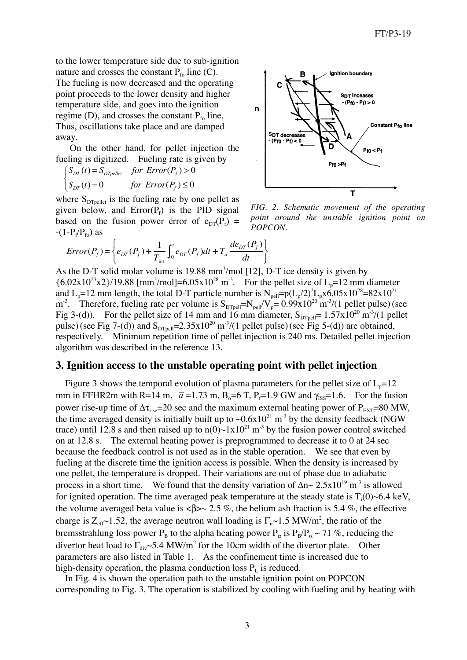to the lower temperature side due to sub-ignition nature and crosses the constant  $P_{f_0}$  line (C). The fueling is now decreased and the operating point proceeds to the lower density and higher temperature side, and goes into the ignition regime (D), and crosses the constant  $P_{f_0}$  line. Thus, oscillations take place and are damped away.

On the other hand, for pellet injection the fueling is digitized. Fueling rate is given by

$$
\begin{cases} S_{DT}(t) = S_{DTpeller} & \text{for Error}(P_f) > 0\\ S_{DT}(t) = 0 & \text{for Error}(P_f) \le 0 \end{cases}
$$

where  $S_{DT_{pellet}}$  is the fueling rate by one pellet as given below, and  $Error(P_f)$  is the PID signal based on the fusion power error of  $e_{DT}(P_f)$  =  $-(1-P_f/P_{fo})$  as



*FIG. 2. Schematic movement of the operating point around the unstable ignition point on POPCON.*

$$
Error(P_f) = \left\{ e_{DT}(P_f) + \frac{1}{T_{\text{int}}} \int_0^t e_{DT}(P_f) dt + T_d \frac{de_{DT}(P_f)}{dt} \right\}
$$

As the D-T solid molar volume is 19.88 mm<sup>3</sup>/mol [12], D-T ice density is given by  ${6.02 \times 10^{23} \times 2}$ /19.88 [mm<sup>3</sup>/mol]=6.05x10<sup>28</sup> m<sup>-3</sup>. For the pellet size of L<sub>p</sub>=12 mm diameter and L<sub>p</sub>=12 mm length, the total D-T particle number is  $N_{\text{pell}} = p(L_p/2)^2 L_p x 6.05x 10^{28} = 82x 10^{21}$ m<sup>-3</sup>. Therefore, fueling rate per volume is  $S_{DTPell} = N_{pell}/V_p = 0.99 \times 10^{20} \text{ m}^{-3}/(1 \text{ pellet pulse})$  (see Fig 3-(d)). For the pellet size of 14 mm and 16 mm diameter,  $S_{DTpell} = 1.57 \times 10^{20} \text{ m}^3/(1 \text{ pellet})$ pulse) (see Fig 7-(d)) and  $S_{DTPell} = 2.35 \times 10^{20} \text{ m}^3/(1 \text{ pellet pulse})$  (see Fig 5-(d)) are obtained, respectively. Minimum repetition time of pellet injection is 240 ms. Detailed pellet injection algorithm was described in the reference 13.

#### **3. Ignition access to the unstable operating point with pellet injection**

Figure 3 shows the temporal evolution of plasma parameters for the pellet size of  $L_p=12$ mm in FFHR2m with R=14 m,  $\bar{a}$  =1.73 m, B<sub>o</sub>=6 T, P<sub>f</sub>=1.9 GW and  $\gamma_{\text{ISS}}$ =1.6. For the fusion power rise-up time of  $\Delta \tau_{\text{rise}}$ =20 sec and the maximum external heating power of  $P_{\text{EXT}}$ =80 MW, the time averaged density is initially built up to  $\sim 0.6x10^{21}$  m<sup>-3</sup> by the density feedback (NGW trace) until 12.8 s and then raised up to  $n(0) \sim 1 \times 10^{21}$  m<sup>-3</sup> by the fusion power control switched on at 12.8 s. The external heating power is preprogrammed to decrease it to 0 at 24 sec because the feedback control is not used as in the stable operation. We see that even by fueling at the discrete time the ignition access is possible. When the density is increased by one pellet, the temperature is dropped. Their variations are out of phase due to adiabatic process in a short time. We found that the density variation of  $\Delta n \sim 2.5 \times 10^{19}$  m<sup>-3</sup> is allowed for ignited operation. The time averaged peak temperature at the steady state is  $T_i(0)$  ~6.4 keV, the volume averaged beta value is  $\langle \beta \rangle \sim 2.5$  %, the helium ash fraction is 5.4 %, the effective charge is  $Z_{\text{eff}}$ ~1.52, the average neutron wall loading is  $\Gamma_{n}$ ~1.5 MW/m<sup>2</sup>, the ratio of the bremsstrahlung loss power P<sub>B</sub> to the alpha heating power P<sub>α</sub> is  $P_B/P_a \sim 71$  %, reducing the divertor heat load to  $\Gamma_{div}$  -5.4 MW/m<sup>2</sup> for the 10cm width of the divertor plate. Other parameters are also listed in Table 1. As the confinement time is increased due to high-density operation, the plasma conduction loss  $P<sub>L</sub>$  is reduced.

In Fig. 4 is shown the operation path to the unstable ignition point on POPCON corresponding to Fig. 3. The operation is stabilized by cooling with fueling and by heating with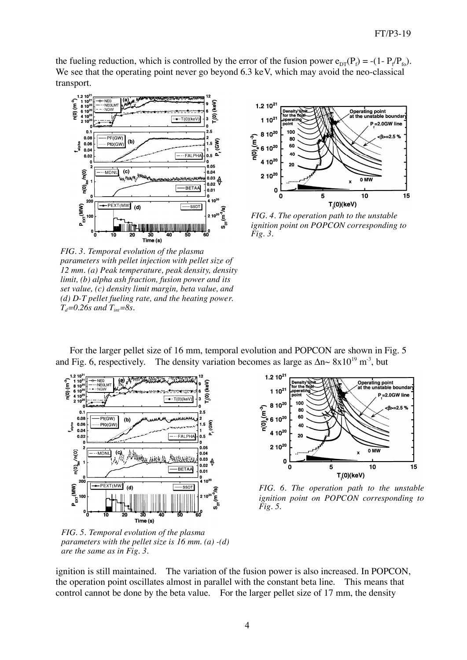the fueling reduction, which is controlled by the error of the fusion power  $e_{DT}(P_f) = -(1 - P_f/P_{fo})$ . We see that the operating point never go beyond 6.3 keV, which may avoid the neo-classical transport.



*FIG. 3. Temporal evolution of the plasma parameters with pellet injection with pellet size of 12 mm. (a) Peak temperature, peak density, density limit, (b) alpha ash fraction, fusion power and its set value, (c) density limit margin, beta value, and (d) D-T pellet fueling rate, and the heating power.*  $T_d = 0.26s$  *and*  $T_{int} = 8s$ .



*FIG. 4. The operation path to the unstable ignition point on POPCON corresponding to Fig. 3.*

For the larger pellet size of 16 mm, temporal evolution and POPCON are shown in Fig. 5 and Fig. 6, respectively. The density variation becomes as large as  $\Delta n \sim 8 \times 10^{19} \text{ m}^3$ , but



*FIG. 5. Temporal evolution of the plasma parameters with the pellet size is 16 mm. (a) -(d) are the same as in Fig. 3.*



*FIG. 6. The operation path to the unstable ignition point on POPCON corresponding to Fig. 5.*

ignition is still maintained. The variation of the fusion power is also increased. In POPCON, the operation point oscillates almost in parallel with the constant beta line. This means that control cannot be done by the beta value. For the larger pellet size of 17 mm, the density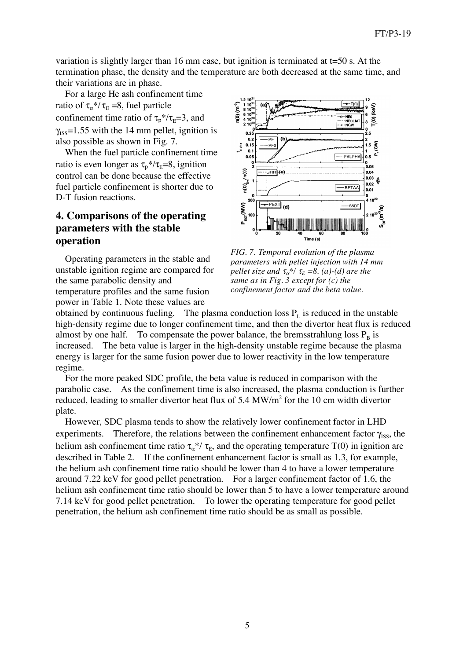variation is slightly larger than 16 mm case, but ignition is terminated at t=50 s. At the termination phase, the density and the temperature are both decreased at the same time, and their variations are in phase.

For a large He ash confinement time ratio of  $\tau_{\alpha}$ <sup>\*</sup>/ $\tau_{\text{E}}$  =8, fuel particle confinement time ratio of  $\tau_p$ <sup>\*</sup>/ $\tau_E$ =3, and  $\gamma_{ISS}=1.55$  with the 14 mm pellet, ignition is also possible as shown in Fig. 7.

When the fuel particle confinement time ratio is even longer as  $\tau_p$ \*/ $\tau_E$ =8, ignition control can be done because the effective fuel particle confinement is shorter due to D-T fusion reactions.

## **4. Comparisons of the operating parameters with the stable operation**

Operating parameters in the stable and unstable ignition regime are compared for the same parabolic density and temperature profiles and the same fusion power in Table 1. Note these values are



*FIG. 7. Temporal evolution of the plasma parameters with pellet injection with 14 mm pellet size and*  $\tau_{\alpha}^{*}/\tau_{E} = 8$ . *(a)-(d) are the same as in Fig. 3 except for (c) the confinement factor and the beta value.*

obtained by continuous fueling. The plasma conduction loss  $P<sub>L</sub>$  is reduced in the unstable high-density regime due to longer confinement time, and then the divertor heat flux is reduced almost by one half. To compensate the power balance, the bremsstrahlung loss  $P_B$  is increased. The beta value is larger in the high-density unstable regime because the plasma energy is larger for the same fusion power due to lower reactivity in the low temperature regime.

For the more peaked SDC profile, the beta value is reduced in comparison with the parabolic case. As the confinement time is also increased, the plasma conduction is further reduced, leading to smaller divertor heat flux of 5.4 MW/m<sup>2</sup> for the 10 cm width divertor plate.

However, SDC plasma tends to show the relatively lower confinement factor in LHD experiments. Therefore, the relations between the confinement enhancement factor  $\gamma_{\text{ISS}}$ , the helium ash confinement time ratio  $\tau_{\alpha}^{*}/\tau_{E}$ , and the operating temperature T(0) in ignition are described in Table 2. If the confinement enhancement factor is small as 1.3, for example, the helium ash confinement time ratio should be lower than 4 to have a lower temperature around 7.22 keV for good pellet penetration. For a larger confinement factor of 1.6, the helium ash confinement time ratio should be lower than 5 to have a lower temperature around 7.14 keV for good pellet penetration. To lower the operating temperature for good pellet penetration, the helium ash confinement time ratio should be as small as possible.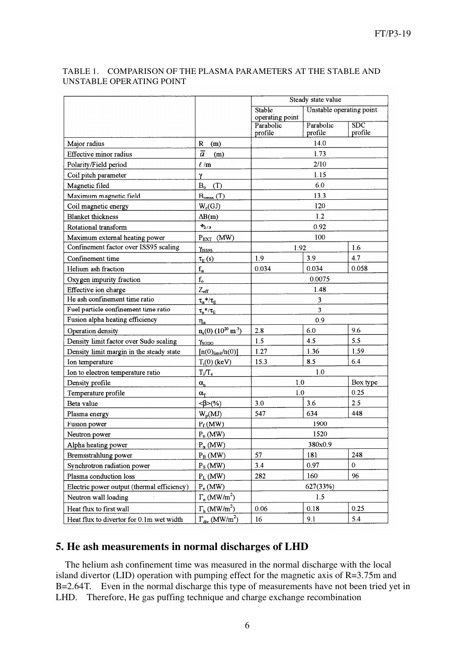| TABLE 1. COMPARISON OF THE PLASMA PARAMETERS AT THE STABLE AND |
|----------------------------------------------------------------|
| UNSTABLE OPERATING POINT                                       |

|                                            |                                              | Steady state value           |                          |                         |  |
|--------------------------------------------|----------------------------------------------|------------------------------|--------------------------|-------------------------|--|
|                                            |                                              | Stable                       | Unstable operating point |                         |  |
|                                            |                                              | operating point<br>Parabolic | Parabolic                | $\overline{\text{SDC}}$ |  |
|                                            |                                              | profile                      | profile                  | profile                 |  |
| Major radius                               | R<br>(m)                                     |                              | 14.0                     |                         |  |
| Effective minor radius                     | $\overline{a}$<br>(m)                        |                              | 1.73                     |                         |  |
| Polarity/Field period                      | $\ell$ /m                                    |                              | 2/10                     |                         |  |
| Coil pitch parameter                       | γ                                            |                              | 1.15                     |                         |  |
| Magnetic filed                             | B <sub>o</sub><br>(T)                        | 6.0                          |                          |                         |  |
| Maximum magnetic field                     | $B_{\text{omax}}(T)$                         | 13.3                         |                          |                         |  |
| Coil magnetic energy                       | $W_c(GJ)$                                    | 120                          |                          |                         |  |
| <b>Blanket</b> thickness                   | $\Delta B(m)$                                | 1.2                          |                          |                         |  |
| Rotational transform                       | $t_{2/3}$                                    | 0.92                         |                          |                         |  |
| Maximum external heating power             | $P_{EXT}$ (MW)                               |                              | 100                      |                         |  |
| Confinement factor over ISS95 scaling      | Y <sub>ISS95</sub>                           | 1.92                         |                          | 1.6                     |  |
| Confinement time                           | $\tau_E(s)$                                  | 1.9                          | 3.9                      | 4.7                     |  |
| Helium ash fraction                        | $f_{\alpha}$                                 | 0.034                        | 0.034                    | 0.058                   |  |
| Oxygen impurity fraction                   | $\mathbf{f}_\mathsf{o}$                      | 0.0075                       |                          |                         |  |
| Effective ion charge                       | $Z_{\text{eff}}$                             | 1.48                         |                          |                         |  |
| He ash confinement time ratio              | $\tau_\alpha{}^*/\tau_{\rm E}$               | 3                            |                          |                         |  |
| Fuel particle confinement time ratio       | $\tau_{\rm p}{}^*/\tau_{\rm E}$              | 3                            |                          |                         |  |
| Fusion alpha heating efficiency            | $\eta_{\alpha}$                              | 0.9                          |                          |                         |  |
| Operation density                          | $n_e(0)$ (10 <sup>20</sup> m <sup>-3</sup> ) | 2.8                          | 6.0                      | 9.6                     |  |
| Density limit factor over Sudo scaling     | $\gamma_{\text{SUDO}}$                       | 1.5                          | 4.5                      | 5.5                     |  |
| Density limit margin in the steady state   | [n(0) <sub>limit</sub> /n(0)]                | 1.27                         | 1.36                     | 1.59                    |  |
| Ion temperature                            | $T_i(0)$ (keV)                               | 8.5<br>15.3                  |                          | 6.4                     |  |
| Ion to electron temperature ratio          | $T_i/T_e$                                    | 1.0                          |                          |                         |  |
| Density profile                            | $\alpha_{\rm n}$                             | $1.0\,$                      |                          | Box type                |  |
| Temperature profile                        | $\alpha_{\rm T}$                             | 1.0                          |                          | 0.25                    |  |
| Beta value                                 | $\langle \beta \rangle$ (%)                  | 3.0                          | 3.6                      | 2.5                     |  |
| Plasma energy                              | $W_p(M)$                                     | 547                          | 634                      | 448                     |  |
| Fusion power                               | $P_f(MW)$                                    | 1900                         |                          |                         |  |
| Neutron power                              | $P_n(MW)$                                    | 1520                         |                          |                         |  |
| Alpha heating power                        | $P_{\alpha}$ (MW)                            | 380x0.9                      |                          |                         |  |
| Bremsstrahlung power                       | $P_B(MW)$                                    | 57                           | 181                      | 248                     |  |
| Synchrotron radiation power                | $P_S(MW)$                                    | 3.4                          | 0.97                     | 0                       |  |
| Plasma conduction loss                     | $P_L(MW)$                                    | 160<br>96<br>282             |                          |                         |  |
| Electric power output (thermal efficiency) | $P_e(MW)$                                    | 627(33%)                     |                          |                         |  |
| Neutron wall loading                       | $\Gamma_n$ (MW/m <sup>2</sup> )              | 1.5                          |                          |                         |  |
| Heat flux to first wall                    | $\Gamma_h$ (MW/m <sup>2</sup> )              | 0.06                         | 0.18                     | 0.25                    |  |
| Heat flux to divertor for 0.1m wet width   | $\Gamma_{div}$ (MW/m <sup>2</sup> )          | 16                           | 9.1                      | 5.4                     |  |

## **5. He ash measurements in normal discharges of LHD**

The helium ash confinement time was measured in the normal discharge with the local island divertor (LID) operation with pumping effect for the magnetic axis of  $R=3.75$ m and B=2.64T. Even in the normal discharge this type of measurements have not been tried yet in LHD. Therefore, He gas puffing technique and charge exchange recombination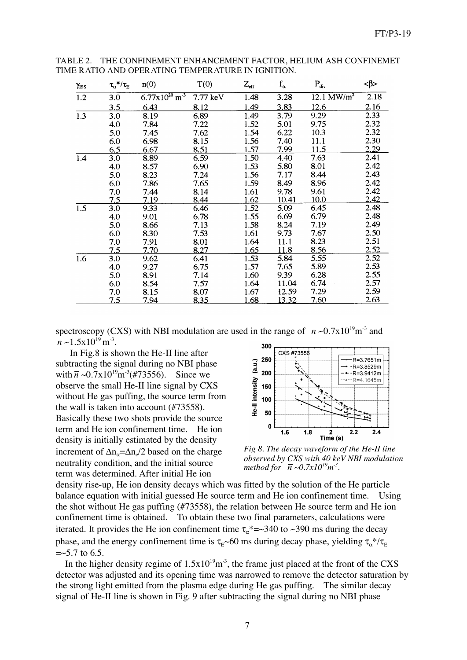| $\gamma$ <sub>ISS</sub> | $\tau_\alpha{}^*/\tau_{\rm E}$ | n(0)                                  | T(0)     | $Z_{\rm eff}$ | $f_{\alpha}$ | $P_{div}$                        | <β>         |
|-------------------------|--------------------------------|---------------------------------------|----------|---------------|--------------|----------------------------------|-------------|
| $\overline{1.2}$        | 3.0                            | $6.77 \times 10^{20}$ m <sup>-3</sup> | 7.77 keV | 1.48          | 3.28         | $12.\overline{1 \text{ MW/m}^2}$ | 2.18        |
|                         | 3.5                            | 6.43                                  | 8.12     | 1.49          | 3.83         | 12.6                             | 2.16        |
| 1.3                     | 3.0                            | 8.19                                  | 6.89     | 1.49          | 3.79         | 9.29                             | 2.33        |
|                         | 4.0                            | 7.84                                  | 7.22     | 1.52          | 5.01         | 9.75                             | 2.32        |
|                         | 5.0                            | 7.45                                  | 7.62     | 1.54          | 6.22         | 10.3                             | 2.32        |
|                         | 6.0                            | 6.98                                  | 8.15     | 1.56          | 7.40         | 11.1                             | 2.30        |
|                         | 6.5                            | 6.67                                  | 8.51     | 1.57          | 7.99         | 11.5                             | 2.29        |
| 1.4                     | 3.0                            | 8.89                                  | 6.59     | 1.50          | 4.40         | 7.63                             | 2.41        |
|                         | 4.0                            | 8.57                                  | 6.90     | 1.53          | 5.80         | 8.01                             | 2.42        |
|                         | 5.0                            | 8.23                                  | 7.24     | 1.56          | 7.17         | 8.44                             | 2.43        |
|                         | 6.0                            | 7.86                                  | 7.65     | 1.59          | 8.49         | 8.96                             | 2.42        |
|                         | 7.0                            | 7.44                                  | 8.14     | 1.61          | 9.78         | 9.61                             | 2.42        |
|                         | 7.5                            | 7.19                                  | 8.44     | 1.62          | 10.41        | <u>10.0</u>                      | 2.42        |
| 1.5                     | 3.0                            | 9.33                                  | 6.46     | 1.52          | 5.09         | 6.45                             | 2.48        |
|                         | 4.0                            | 9.01                                  | 6.78     | 1.55          | 6.69         | 6.79                             | 2.48        |
|                         | 5.0                            | 8.66                                  | 7.13     | 1.58          | 8.24         | 7.19                             | 2.49        |
|                         | 6.0                            | 8.30                                  | 7.53     | 1.61          | 9.73         | 7.67                             | 2.50        |
|                         | 7.0                            | 7.91                                  | 8.01     | 1.64          | 11.1         | 8.23                             | 2.51        |
|                         | 7.5                            | 7.70                                  | 8.27     | 1.65          | 11.8         | 8.56                             | <u>2.52</u> |
| 1.6                     | 3.0                            | 9.62                                  | 6.41     | 1.53          | 5.84         | 5.55                             | 2.52        |
|                         | 4.0                            | 9.27                                  | 6.75     | 1.57          | 7.65         | 5.89                             | 2.53        |
|                         | 5.0                            | 8.91                                  | 7.14     | 1.60          | 9.39         | 6.28                             | 2.55        |
|                         | 6.0                            | 8.54                                  | 7.57     | 1.64          | 11.04        | 6.74                             | 2.57        |
|                         | 7.0                            | 8.15                                  | 8.07     | 1.67          | 12.59        | 7.29                             | 2.59        |
|                         | 7.5                            | 7.94                                  | 8.35     | 1.68          | 13.32        | 7.60                             | 2.63        |

TABLE 2. THE CONFINEMENT ENHANCEMENT FACTOR, HELIUM ASH CONFINEMET TIME RATIO AND OPERATING TEMPERATURE IN IGNITION.

spectroscopy (CXS) with NBI modulation are used in the range of  $\bar{n} \sim 0.7 \times 10^{19}$  m<sup>-3</sup> and  $\overline{n} \sim 1.5 \times 10^{19} \,\mathrm{m}^{-3}$ .

In Fig.8 is shown the He-II line after subtracting the signal during no NBI phase with  $\bar{n} \sim 0.7 \times 10^{19} \text{m}^{-3} (t/73556)$ . Since we observe the small He-II line signal by CXS without He gas puffing, the source term from the wall is taken into account (#73558). Basically these two shots provide the source term and He ion confinement time. He ion density is initially estimated by the density increment of  $\Delta n_{\alpha} = \Delta n_{\alpha}/2$  based on the charge neutrality condition, and the initial source term was determined. After initial He ion



*Fig 8. The decay waveform of the He-II line observed by CXS with 40 keV NBI modulation method for*  $\bar{n} \sim 0.7x10^{19} m^3$ .

density rise-up, He ion density decays which was fitted by the solution of the He particle balance equation with initial guessed He source term and He ion confinement time. Using the shot without He gas puffing (#73558), the relation between He source term and He ion confinement time is obtained. To obtain these two final parameters, calculations were iterated. It provides the He ion confinement time  $\tau_{\alpha}^* = 340$  to ~390 ms during the decay phase, and the energy confinement time is  $\tau_{E}$ ~60 ms during decay phase, yielding  $\tau_{\alpha}$ \*/ $\tau_{E}$  $=$  ~5.7 to 6.5.

In the higher density regime of  $1.5x10^{19}m^3$ , the frame just placed at the front of the CXS detector was adjusted and its opening time was narrowed to remove the detector saturation by the strong light emitted from the plasma edge during He gas puffing. The similar decay signal of He-II line is shown in Fig. 9 after subtracting the signal during no NBI phase